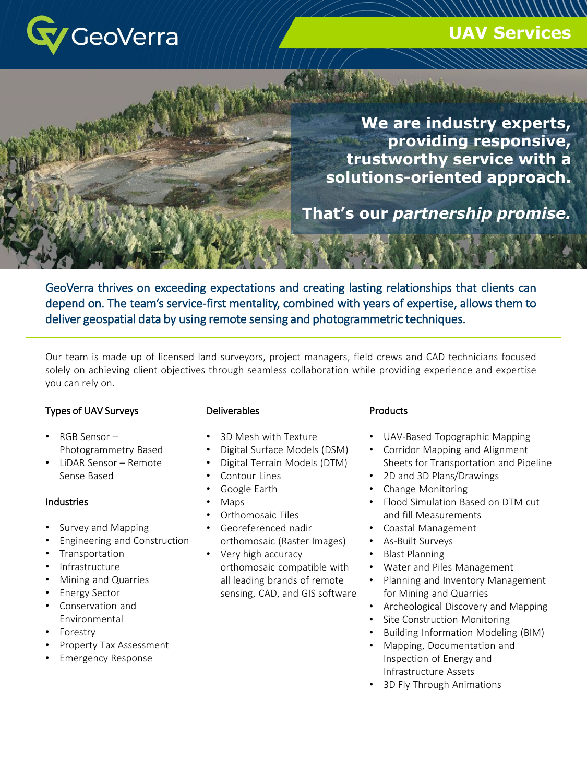

# **UAV Services**

MACHINERY CHARLES

**We are industry experts, providing responsive, trustworthy service with a solutions-oriented approach.** 

**That's our** *partnership promise.*

GeoVerra thrives on exceeding expectations and creating lasting relationships that clients can depend on. The team's service-first mentality, combined with years of expertise, allows them to deliver geospatial data by using remote sensing and photogrammetric techniques.

Our team is made up of licensed land surveyors, project managers, field crews and CAD technicians focused solely on achieving client objectives through seamless collaboration while providing experience and expertise you can rely on.

### Types of UAV Surveys

- RGB Sensor Photogrammetry Based
- LiDAR Sensor Remote Sense Based

#### **Industries**

- Survey and Mapping
- Engineering and Construction
- **Transportation**
- Infrastructure
- Mining and Quarries
- Energy Sector
- Conservation and Environmental
- **Forestry**
- Property Tax Assessment
- Emergency Response

#### Deliverables

- 3D Mesh with Texture
- Digital Surface Models (DSM)
- Digital Terrain Models (DTM)
- Contour Lines
- Google Earth
- Maps
- Orthomosaic Tiles
- Georeferenced nadir orthomosaic (Raster Images)
- Very high accuracy orthomosaic compatible with all leading brands of remote sensing, CAD, and GIS software

#### **Products**

**Unmanned Aerial Vehicles (U.A.V.)**

- UAV-Based Topographic Mapping
- Corridor Mapping and Alignment Sheets for Transportation and Pipeline
- 2D and 3D Plans/Drawings
- Change Monitoring
- Flood Simulation Based on DTM cut and fill Measurements
- Coastal Management
- As-Built Surveys
- Blast Planning
- Water and Piles Management
- Planning and Inventory Management for Mining and Quarries
- Archeological Discovery and Mapping
- Site Construction Monitoring
- Building Information Modeling (BIM)
- Mapping, Documentation and Inspection of Energy and Infrastructure Assets
- 3D Fly Through Animations